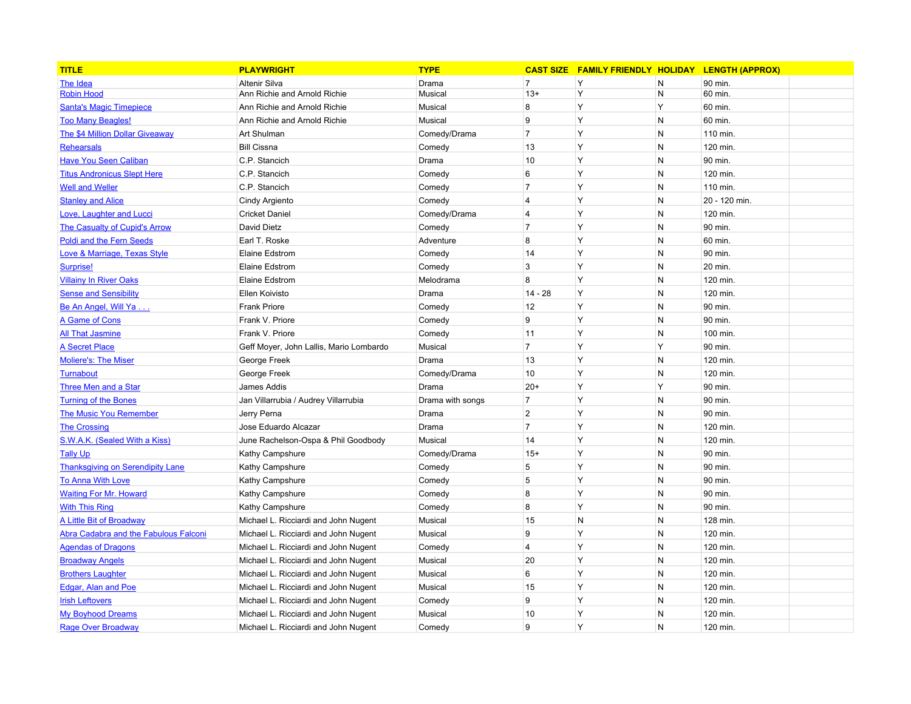| <b>TITLE</b>                            | <b>PLAYWRIGHT</b>                       | <b>TYPE</b>      |                         | <b>CAST SIZE FAMILY FRIENDLY HOLIDAY</b> |              | <b>LENGTH (APPROX)</b> |  |
|-----------------------------------------|-----------------------------------------|------------------|-------------------------|------------------------------------------|--------------|------------------------|--|
| The Idea                                | <b>Altenir Silva</b>                    | Drama            | $\overline{7}$          | Y                                        | N            | 90 min.                |  |
| <b>Robin Hood</b>                       | Ann Richie and Arnold Richie            | Musical          | $13+$                   | Y                                        | $\mathsf{N}$ | 60 min.                |  |
| <b>Santa's Magic Timepiece</b>          | Ann Richie and Arnold Richie            | Musical          | 8                       | Y                                        | Y            | 60 min.                |  |
| <b>Too Many Beagles!</b>                | Ann Richie and Arnold Richie            | Musical          | 9                       | Y                                        | $\mathsf{N}$ | 60 min.                |  |
| <b>The \$4 Million Dollar Giveaway</b>  | Art Shulman                             | Comedy/Drama     | $\overline{7}$          | Y                                        | $\mathsf{N}$ | 110 min.               |  |
| Rehearsals                              | <b>Bill Cissna</b>                      | Comedy           | 13                      | Y                                        | $\mathsf{N}$ | 120 min.               |  |
| <b>Have You Seen Caliban</b>            | C.P. Stancich                           | Drama            | 10                      | Y                                        | $\mathsf{N}$ | 90 min.                |  |
| <b>Titus Andronicus Slept Here</b>      | C.P. Stancich                           | Comedy           | 6                       | Y                                        | N            | 120 min.               |  |
| <b>Well and Weller</b>                  | C.P. Stancich                           | Comedy           | $\overline{7}$          | Υ                                        | $\mathsf{N}$ | 110 min.               |  |
| <b>Stanley and Alice</b>                | Cindy Argiento                          | Comedy           | $\overline{\mathbf{4}}$ | Y                                        | $\mathsf{N}$ | 20 - 120 min.          |  |
| <b>Love, Laughter and Lucci</b>         | <b>Cricket Daniel</b>                   | Comedy/Drama     | 4                       | Y                                        | N            | 120 min.               |  |
| <b>The Casualty of Cupid's Arrow</b>    | David Dietz                             | Comedy           | $\overline{7}$          | Y                                        | N            | 90 min.                |  |
| <b>Poldi and the Fern Seeds</b>         | Earl T. Roske                           | Adventure        | 8                       | Y                                        | N            | 60 min.                |  |
| Love & Marriage, Texas Style            | Elaine Edstrom                          | Comedy           | 14                      | Y                                        | N            | 90 min.                |  |
| Surprise!                               | Elaine Edstrom                          | Comedy           | 3                       | Y                                        | N            | 20 min.                |  |
| <b>Villainy In River Oaks</b>           | Elaine Edstrom                          | Melodrama        | 8                       | Y                                        | N            | 120 min.               |  |
| <b>Sense and Sensibility</b>            | Ellen Koivisto                          | Drama            | $14 - 28$               | Y                                        | N            | 120 min.               |  |
| Be An Angel, Will Ya                    | <b>Frank Priore</b>                     | Comedy           | 12                      | Y                                        | N            | 90 min.                |  |
| A Game of Cons                          | Frank V. Priore                         | Comedy           | 9                       | Y                                        | N            | 90 min.                |  |
| <b>All That Jasmine</b>                 | Frank V. Priore                         | Comedy           | 11                      | Y                                        | N            | 100 min.               |  |
| <b>A Secret Place</b>                   | Geff Moyer, John Lallis, Mario Lombardo | Musical          | $\overline{7}$          | Y                                        | Y            | 90 min.                |  |
| <b>Moliere's: The Miser</b>             | George Freek                            | Drama            | 13                      | Y                                        | $\mathsf{N}$ | 120 min.               |  |
| <b>Turnabout</b>                        | George Freek                            | Comedy/Drama     | 10                      | Y                                        | N            | 120 min.               |  |
| Three Men and a Star                    | James Addis                             | Drama            | $20+$                   | Y                                        | Y            | 90 min.                |  |
| <b>Turning of the Bones</b>             | Jan Villarrubia / Audrey Villarrubia    | Drama with songs | $\overline{7}$          | Y                                        | N            | 90 min.                |  |
| <b>The Music You Remember</b>           | Jerry Perna                             | Drama            | $\overline{2}$          | Y                                        | $\mathsf{N}$ | 90 min.                |  |
| <b>The Crossing</b>                     | Jose Eduardo Alcazar                    | Drama            | $\overline{7}$          | Y                                        | N            | 120 min.               |  |
| S.W.A.K. (Sealed With a Kiss)           | June Rachelson-Ospa & Phil Goodbody     | Musical          | 14                      | Y                                        | N            | 120 min.               |  |
| <b>Tally Up</b>                         | Kathy Campshure                         | Comedy/Drama     | $15+$                   | Y                                        | N            | 90 min.                |  |
| <b>Thanksgiving on Serendipity Lane</b> | Kathy Campshure                         | Comedy           | 5                       | Y                                        | $\mathsf{N}$ | 90 min.                |  |
| <b>To Anna With Love</b>                | Kathy Campshure                         | Comedy           | 5                       | Y                                        | N            | 90 min.                |  |
| <b>Waiting For Mr. Howard</b>           | Kathy Campshure                         | Comedy           | 8                       | Y                                        | N            | 90 min.                |  |
| <b>With This Ring</b>                   | Kathy Campshure                         | Comedy           | 8                       | Y                                        | N            | 90 min.                |  |
| <b>A Little Bit of Broadway</b>         | Michael L. Ricciardi and John Nugent    | Musical          | 15                      | N                                        | ${\sf N}$    | 128 min.               |  |
| Abra Cadabra and the Fabulous Falconi   | Michael L. Ricciardi and John Nugent    | Musical          | 9                       | Y                                        | N            | 120 min.               |  |
| <b>Agendas of Dragons</b>               | Michael L. Ricciardi and John Nugent    | Comedy           | $\overline{4}$          | Y                                        | N            | 120 min.               |  |
| <b>Broadway Angels</b>                  | Michael L. Ricciardi and John Nugent    | Musical          | 20                      | Y                                        | N            | 120 min.               |  |
| <b>Brothers Laughter</b>                | Michael L. Ricciardi and John Nugent    | Musical          | 6                       | Y                                        | ${\sf N}$    | 120 min.               |  |
| Edgar, Alan and Poe                     | Michael L. Ricciardi and John Nugent    | Musical          | 15                      | Y                                        | N            | 120 min.               |  |
| <b>Irish Leftovers</b>                  | Michael L. Ricciardi and John Nugent    | Comedy           | 9                       | Y                                        | N            | 120 min.               |  |
| <b>My Boyhood Dreams</b>                | Michael L. Ricciardi and John Nugent    | Musical          | 10                      | Y                                        | N            | 120 min.               |  |
| Rage Over Broadway                      | Michael L. Ricciardi and John Nugent    | Comedy           | 9                       | Y                                        | N            | 120 min.               |  |